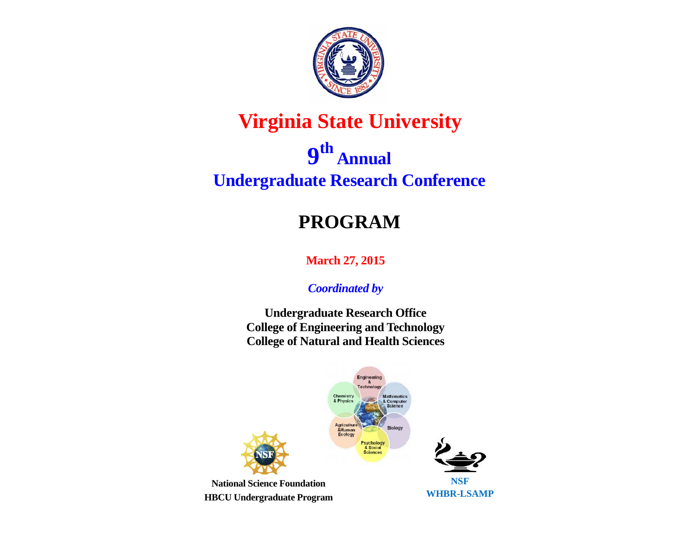

## **Virginia State University**

# **9th Annual Undergraduate Research Conference**

## **PROGRAM**

**March 27, 2015** 

*Coordinated by* 

**Undergraduate Research Office College of Engineering and Technology College of Natural and Health Sciences** 

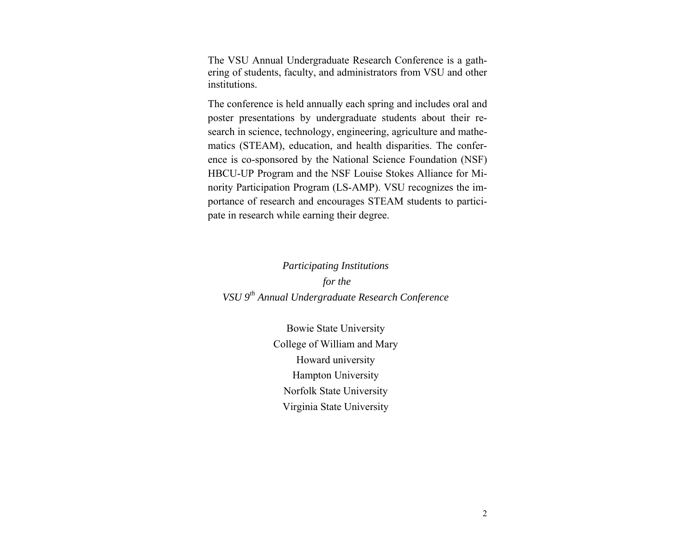The VSU Annual Undergraduate Research Conference is a gathering of students, faculty, and administrators from VSU and other institutions.

The conference is held annually each spring and includes oral and poster presentations by undergraduate students about their research in science, technology, engineering, agriculture and mathematics (STEAM), education, and health disparities. The conference is co-sponsored by the National Science Foundation (NSF) HBCU-UP Program and the NSF Louise Stokes Alliance for Minority Participation Program (LS-AMP). VSU recognizes the importance of research and encourages STEAM students to participate in research while earning their degree.

## *Participating Institutions for the VSU 9th Annual Undergraduate Research Conference*

Bowie State University College of William and Mary Howard university Hampton University Norfolk State University Virginia State University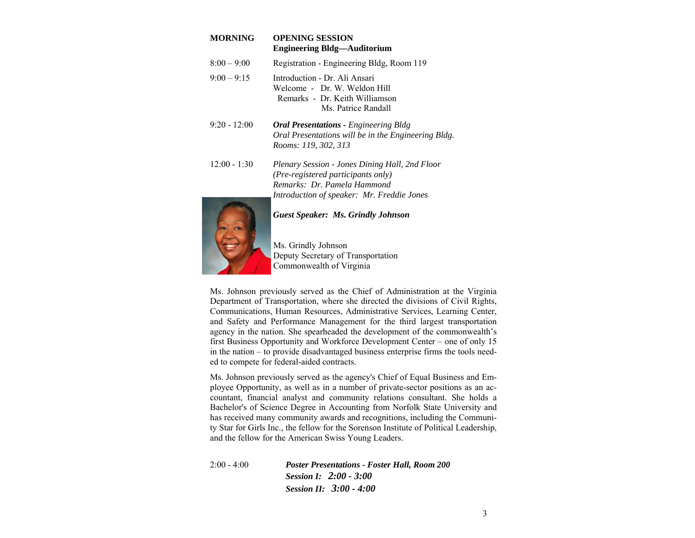| <b>MORNING</b> | <b>OPENING SESSION</b><br><b>Engineering Bldg—Auditorium</b>                                                                                                      |
|----------------|-------------------------------------------------------------------------------------------------------------------------------------------------------------------|
| $8:00 - 9:00$  | Registration - Engineering Bldg, Room 119                                                                                                                         |
| $9:00 - 9:15$  | Introduction - Dr. Ali Ansari<br>Welcome - Dr. W. Weldon Hill<br>Remarks - Dr. Keith Williamson<br>Ms. Patrice Randall                                            |
| $9:20 - 12:00$ | <b>Oral Presentations - Engineering Bldg</b><br>Oral Presentations will be in the Engineering Bldg.<br>Rooms: 119, 302, 313                                       |
| $12:00 - 1:30$ | Plenary Session - Jones Dining Hall, 2nd Floor<br>(Pre-registered participants only)<br>Remarks: Dr. Pamela Hammond<br>Introduction of speaker: Mr. Freddie Jones |
|                | <b>Guest Speaker: Ms. Grindly Johnson</b>                                                                                                                         |



Ms. Grindly Johnson Deputy Secretary of Transportation Commonwealth of Virginia

Ms. Johnson previously served as the Chief of Administration at the Virginia Department of Transportation, where she directed the divisions of Civil Rights, Communications, Human Resources, Administrative Services, Learning Center, and Safety and Performance Management for the third largest transportation agency in the nation. She spearheaded the development of the commonwealth's first Business Opportunity and Workforce Development Center – one of only 15 in the nation – to provide disadvantaged business enterprise firms the tools needed to compete for federal-aided contracts.

Ms. Johnson previously served as the agency's Chief of Equal Business and Employee Opportunity, as well as in a number of private-sector positions as an accountant, financial analyst and community relations consultant. She holds a Bachelor's of Science Degree in Accounting from Norfolk State University and has received many community awards and recognitions, including the Community Star for Girls Inc., the fellow for the Sorenson Institute of Political Leadership, and the fellow for the American Swiss Young Leaders.

2:00 - 4:00 *Poster Presentations - Foster Hall, Room 200 Session I: 2:00 - 3:00 Session II: 3:00 - 4:00*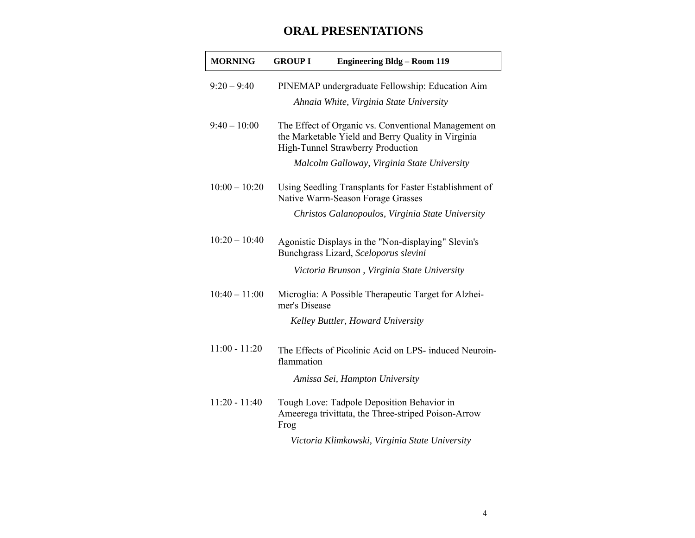## **ORAL PRESENTATIONS**

| <b>MORNING</b>  | <b>GROUP I</b> | <b>Engineering Bldg - Room 119</b>                                                                                                              |
|-----------------|----------------|-------------------------------------------------------------------------------------------------------------------------------------------------|
| $9:20 - 9:40$   |                | PINEMAP undergraduate Fellowship: Education Aim<br>Ahnaia White, Virginia State University                                                      |
| $9:40 - 10:00$  |                | The Effect of Organic vs. Conventional Management on<br>the Marketable Yield and Berry Quality in Virginia<br>High-Tunnel Strawberry Production |
|                 |                | Malcolm Galloway, Virginia State University                                                                                                     |
| $10:00 - 10:20$ |                | Using Seedling Transplants for Faster Establishment of<br>Native Warm-Season Forage Grasses                                                     |
|                 |                | Christos Galanopoulos, Virginia State University                                                                                                |
| $10:20 - 10:40$ |                | Agonistic Displays in the "Non-displaying" Slevin's<br>Bunchgrass Lizard, Sceloporus slevini                                                    |
|                 |                | Victoria Brunson, Virginia State University                                                                                                     |
| $10:40 - 11:00$ | mer's Disease  | Microglia: A Possible Therapeutic Target for Alzhei-                                                                                            |
|                 |                | Kelley Buttler, Howard University                                                                                                               |
| $11:00 - 11:20$ | flammation     | The Effects of Picolinic Acid on LPS- induced Neuroin-                                                                                          |
|                 |                | Amissa Sei, Hampton University                                                                                                                  |
| $11:20 - 11:40$ | Frog           | Tough Love: Tadpole Deposition Behavior in<br>Ameerega trivittata, the Three-striped Poison-Arrow                                               |
|                 |                | Victoria Klimkowski, Virginia State University                                                                                                  |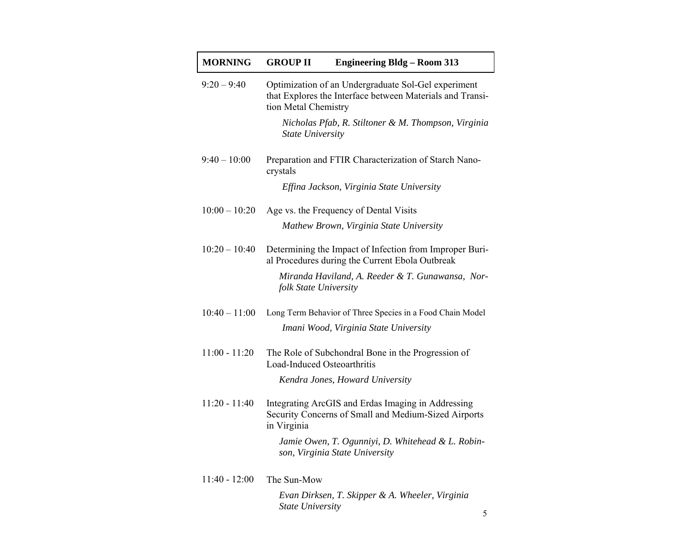| <b>MORNING</b>  | <b>GROUP II</b>             | <b>Engineering Bldg - Room 313</b>                                                                               |
|-----------------|-----------------------------|------------------------------------------------------------------------------------------------------------------|
| $9:20 - 9:40$   | tion Metal Chemistry        | Optimization of an Undergraduate Sol-Gel experiment<br>that Explores the Interface between Materials and Transi- |
|                 | <b>State University</b>     | Nicholas Pfab, R. Stiltoner & M. Thompson, Virginia                                                              |
| $9:40 - 10:00$  | crystals                    | Preparation and FTIR Characterization of Starch Nano-                                                            |
|                 |                             | Effina Jackson, Virginia State University                                                                        |
| $10:00 - 10:20$ |                             | Age vs. the Frequency of Dental Visits                                                                           |
|                 |                             | Mathew Brown, Virginia State University                                                                          |
| $10:20 - 10:40$ |                             | Determining the Impact of Infection from Improper Buri-<br>al Procedures during the Current Ebola Outbreak       |
|                 | folk State University       | Miranda Haviland, A. Reeder & T. Gunawansa, Nor-                                                                 |
| $10:40 - 11:00$ |                             | Long Term Behavior of Three Species in a Food Chain Model                                                        |
|                 |                             | Imani Wood, Virginia State University                                                                            |
| $11:00 - 11:20$ | Load-Induced Osteoarthritis | The Role of Subchondral Bone in the Progression of                                                               |
|                 |                             | Kendra Jones, Howard University                                                                                  |
| $11:20 - 11:40$ | in Virginia                 | Integrating ArcGIS and Erdas Imaging in Addressing<br>Security Concerns of Small and Medium-Sized Airports       |
|                 |                             | Jamie Owen, T. Ogunniyi, D. Whitehead & L. Robin-<br>son, Virginia State University                              |
| $11:40 - 12:00$ | The Sun-Mow                 |                                                                                                                  |

*Evan Dirksen, T. Skipper & A. Wheeler, Virginia State University*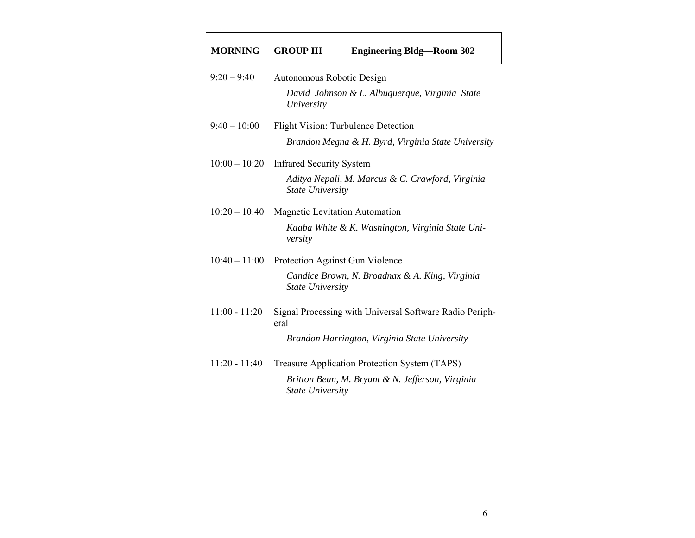#### **MORNINGEngineering Bldg—Room 302**

| $9:20 - 9:40$   | Autonomous Robotic Design<br>David Johnson & L. Albuquerque, Virginia State<br>University        |
|-----------------|--------------------------------------------------------------------------------------------------|
| $9:40 - 10:00$  | <b>Flight Vision: Turbulence Detection</b><br>Brandon Megna & H. Byrd, Virginia State University |
| $10:00 - 10:20$ | <b>Infrared Security System</b>                                                                  |
|                 | Aditya Nepali, M. Marcus & C. Crawford, Virginia<br><b>State University</b>                      |
| $10:20 - 10:40$ | Magnetic Levitation Automation                                                                   |
|                 | Kaaba White & K. Washington, Virginia State Uni-<br>versity                                      |
| $10:40 - 11:00$ | Protection Against Gun Violence                                                                  |
|                 | Candice Brown, N. Broadnax & A. King, Virginia<br><b>State University</b>                        |
| $11:00 - 11:20$ | Signal Processing with Universal Software Radio Periph-<br>eral                                  |
|                 | Brandon Harrington, Virginia State University                                                    |
| 11:20 - 11:40   | Treasure Application Protection System (TAPS)                                                    |
|                 | Britton Bean, M. Bryant & N. Jefferson, Virginia<br><i><b>State University</b></i>               |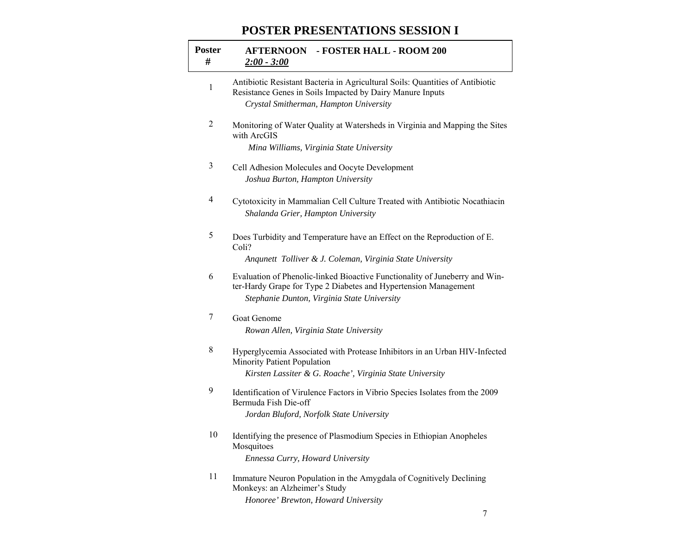### **POSTER PRESENTATIONS SESSION I**

| <b>Poster</b><br># | <b>AFTERNOON - FOSTER HALL - ROOM 200</b><br>$2:00 - 3:00$                                                                                                                                    |
|--------------------|-----------------------------------------------------------------------------------------------------------------------------------------------------------------------------------------------|
| 1                  | Antibiotic Resistant Bacteria in Agricultural Soils: Quantities of Antibiotic<br>Resistance Genes in Soils Impacted by Dairy Manure Inputs<br>Crystal Smitherman, Hampton University          |
| 2                  | Monitoring of Water Quality at Watersheds in Virginia and Mapping the Sites<br>with ArcGIS<br>Mina Williams, Virginia State University                                                        |
| 3                  | Cell Adhesion Molecules and Oocyte Development<br>Joshua Burton, Hampton University                                                                                                           |
| 4                  | Cytotoxicity in Mammalian Cell Culture Treated with Antibiotic Nocathiacin<br>Shalanda Grier, Hampton University                                                                              |
| 5                  | Does Turbidity and Temperature have an Effect on the Reproduction of E.<br>Coli?<br>Anqunett Tolliver & J. Coleman, Virginia State University                                                 |
| 6                  | Evaluation of Phenolic-linked Bioactive Functionality of Juneberry and Win-<br>ter-Hardy Grape for Type 2 Diabetes and Hypertension Management<br>Stephanie Dunton, Virginia State University |
| 7                  | Goat Genome<br>Rowan Allen, Virginia State University                                                                                                                                         |
| 8                  | Hyperglycemia Associated with Protease Inhibitors in an Urban HIV-Infected<br>Minority Patient Population<br>Kirsten Lassiter & G. Roache', Virginia State University                         |
| 9                  | Identification of Virulence Factors in Vibrio Species Isolates from the 2009<br>Bermuda Fish Die-off<br>Jordan Bluford, Norfolk State University                                              |
| 10                 | Identifying the presence of Plasmodium Species in Ethiopian Anopheles<br>Mosquitoes<br>Ennessa Curry, Howard University                                                                       |
| 11                 | Immature Neuron Population in the Amygdala of Cognitively Declining<br>Monkeys: an Alzheimer's Study<br>Honoree' Brewton, Howard University                                                   |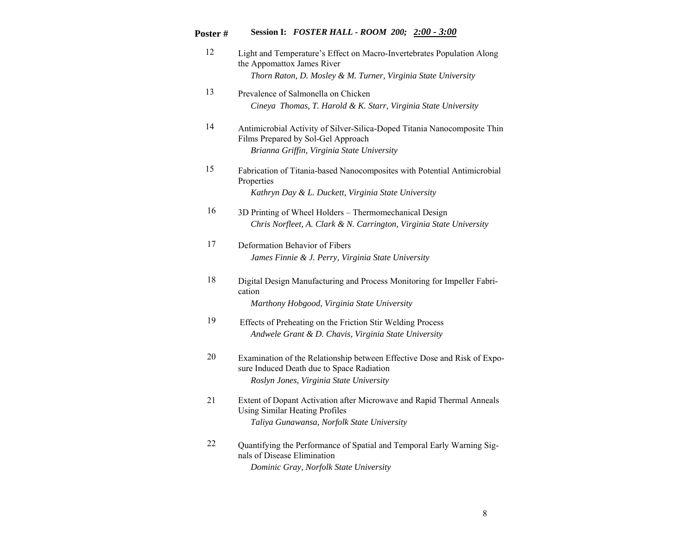### **Poster # Session I:** *FOSTER HALL - ROOM 200; 2:00 - 3:00*

| 12 | Light and Temperature's Effect on Macro-Invertebrates Population Along<br>the Appomattox James River                                                             |
|----|------------------------------------------------------------------------------------------------------------------------------------------------------------------|
|    | Thorn Raton, D. Mosley & M. Turner, Virginia State University                                                                                                    |
| 13 | Prevalence of Salmonella on Chicken<br>Cineya Thomas, T. Harold & K. Starr, Virginia State University                                                            |
| 14 | Antimicrobial Activity of Silver-Silica-Doped Titania Nanocomposite Thin<br>Films Prepared by Sol-Gel Approach<br>Brianna Griffin, Virginia State University     |
| 15 | Fabrication of Titania-based Nanocomposites with Potential Antimicrobial<br>Properties<br>Kathryn Day & L. Duckett, Virginia State University                    |
| 16 | 3D Printing of Wheel Holders – Thermomechanical Design<br>Chris Norfleet, A. Clark & N. Carrington, Virginia State University                                    |
| 17 | Deformation Behavior of Fibers<br>James Finnie & J. Perry, Virginia State University                                                                             |
| 18 | Digital Design Manufacturing and Process Monitoring for Impeller Fabri-<br>cation<br>Marthony Hobgood, Virginia State University                                 |
| 19 | Effects of Preheating on the Friction Stir Welding Process<br>Andwele Grant & D. Chavis, Virginia State University                                               |
| 20 | Examination of the Relationship between Effective Dose and Risk of Expo-<br>sure Induced Death due to Space Radiation<br>Roslyn Jones, Virginia State University |
| 21 | Extent of Dopant Activation after Microwave and Rapid Thermal Anneals<br>Using Similar Heating Profiles<br>Taliya Gunawansa, Norfolk State University            |
| 22 | Quantifying the Performance of Spatial and Temporal Early Warning Sig-<br>nals of Disease Elimination<br>Dominic Gray, Norfolk State University                  |

8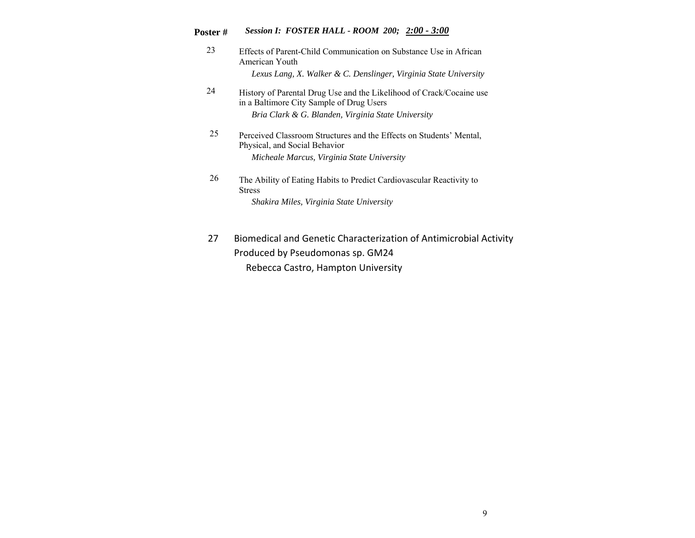#### **Poster #** *Session I: FOSTER HALL - ROOM 200; 2:00 - 3:00*

- 23 Effects of Parent-Child Communication on Substance Use in African American Youth *Lexus Lang, X. Walker & C. Denslinger, Virginia State University*
- 24 History of Parental Drug Use and the Likelihood of Crack/Cocaine use in a Baltimore City Sample of Drug Users *Bria Clark & G. Blanden, Virginia State University*
- 25 Perceived Classroom Structures and the Effects on Students' Mental, Physical, and Social Behavior *Micheale Marcus, Virginia State University*
- 26 The Ability of Eating Habits to Predict Cardiovascular Reactivity to Stress *Shakira Miles, Virginia State University*
- 27 Biomedical and Genetic Characterization of Antimicrobial Activity Produced by Pseudomonas sp. GM24 Rebecca Castro, Hampton University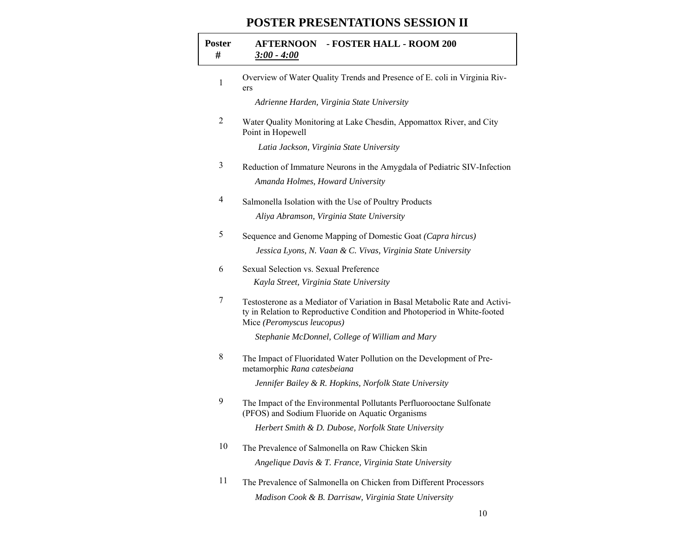#### **POSTER PRESENTATIONS SESSION II**

| <b>Poster</b><br># | <b>AFTERNOON - FOSTER HALL - ROOM 200</b><br>$3:00 - 4:00$                                                                                                                            |
|--------------------|---------------------------------------------------------------------------------------------------------------------------------------------------------------------------------------|
| 1                  | Overview of Water Quality Trends and Presence of E. coli in Virginia Riv-<br>ers                                                                                                      |
|                    | Adrienne Harden, Virginia State University                                                                                                                                            |
| 2                  | Water Quality Monitoring at Lake Chesdin, Appomattox River, and City<br>Point in Hopewell                                                                                             |
|                    | Latia Jackson, Virginia State University                                                                                                                                              |
| 3                  | Reduction of Immature Neurons in the Amygdala of Pediatric SIV-Infection                                                                                                              |
|                    | Amanda Holmes, Howard University                                                                                                                                                      |
| 4                  | Salmonella Isolation with the Use of Poultry Products                                                                                                                                 |
|                    | Aliya Abramson, Virginia State University                                                                                                                                             |
| 5                  | Sequence and Genome Mapping of Domestic Goat (Capra hircus)                                                                                                                           |
|                    | Jessica Lyons, N. Vaan & C. Vivas, Virginia State University                                                                                                                          |
| 6                  | Sexual Selection vs. Sexual Preference                                                                                                                                                |
|                    | Kayla Street, Virginia State University                                                                                                                                               |
| 7                  | Testosterone as a Mediator of Variation in Basal Metabolic Rate and Activi-<br>ty in Relation to Reproductive Condition and Photoperiod in White-footed<br>Mice (Peromyscus leucopus) |
|                    | Stephanie McDonnel, College of William and Mary                                                                                                                                       |
| 8                  | The Impact of Fluoridated Water Pollution on the Development of Pre-<br>metamorphic Rana catesbeiana                                                                                  |
|                    | Jennifer Bailey & R. Hopkins, Norfolk State University                                                                                                                                |
| 9                  | The Impact of the Environmental Pollutants Perfluorooctane Sulfonate<br>(PFOS) and Sodium Fluoride on Aquatic Organisms                                                               |
|                    | Herbert Smith & D. Dubose, Norfolk State University                                                                                                                                   |
| 10                 | The Prevalence of Salmonella on Raw Chicken Skin<br>Angelique Davis & T. France, Virginia State University                                                                            |
| 11                 | The Prevalence of Salmonella on Chicken from Different Processors                                                                                                                     |

*Madison Cook & B. Darrisaw, Virginia State University*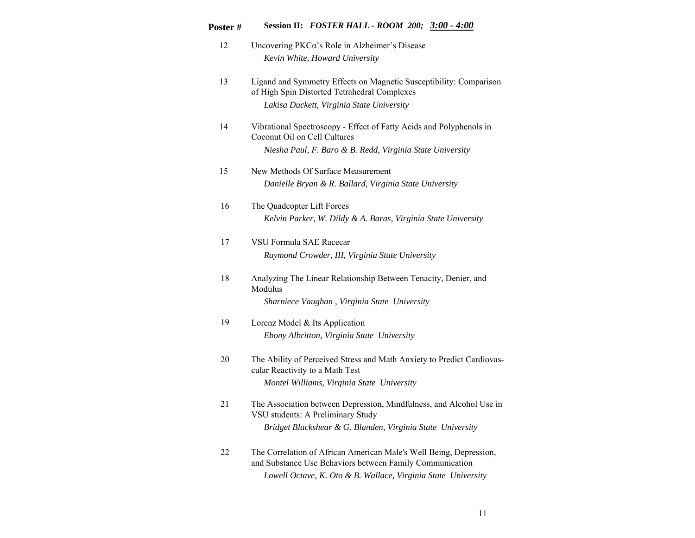## **Poster # Session II:** *FOSTER HALL - ROOM 200; 3:00 - 4:00*

- 12 Uncovering PKCα's Role in Alzheimer's Disease *Kevin White, Howard University*
- 13 Ligand and Symmetry Effects on Magnetic Susceptibility: Comparison of High Spin Distorted Tetrahedral Complexes *Lakisa Duckett, Virginia State University*
- 14 Vibrational Spectroscopy Effect of Fatty Acids and Polyphenols in Coconut Oil on Cell Cultures *Niesha Paul, F. Baro & B. Redd, Virginia State University*
- 15 New Methods Of Surface Measurement *Danielle Bryan & R. Ballard, Virginia State University*
- 16 The Quadcopter Lift Forces *Kelvin Parker, W. Dildy & A. Baras, Virginia State University*
- 17 VSU Formula SAE Racecar *Raymond Crowder, III, Virginia State University*
- 18 Analyzing The Linear Relationship Between Tenacity, Denier, and Modulus *Sharniece Vaughan , Virginia State University*

- 19 Lorenz Model & Its Application *Ebony Albritton, Virginia State University*
- 20 The Ability of Perceived Stress and Math Anxiety to Predict Cardiovascular Reactivity to a Math Test *Montel Williams, Virginia State University*
- 21 The Association between Depression, Mindfulness, and Alcohol Use in VSU students: A Preliminary Study *Bridget Blackshear & G. Blanden, Virginia State University*
- 22 The Correlation of African American Male's Well Being, Depression, and Substance Use Behaviors between Family Communication *Lowell Octave, K. Oto & B. Wallace, Virginia State University*